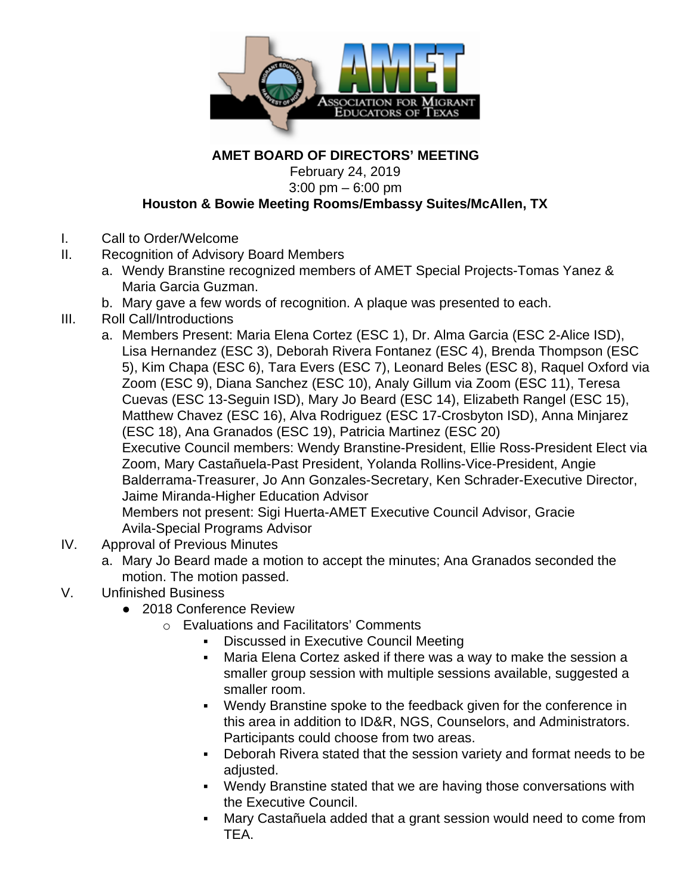

## **AMET BOARD OF DIRECTORS' MEETING**

February 24, 2019

3:00 pm – 6:00 pm

## **Houston & Bowie Meeting Rooms/Embassy Suites/McAllen, TX**

- I. Call to Order/Welcome
- II. Recognition of Advisory Board Members
	- a. Wendy Branstine recognized members of AMET Special Projects-Tomas Yanez & Maria Garcia Guzman.
	- b. Mary gave a few words of recognition. A plaque was presented to each.
- III. Roll Call/Introductions
	- a. Members Present: Maria Elena Cortez (ESC 1), Dr. Alma Garcia (ESC 2-Alice ISD), Lisa Hernandez (ESC 3), Deborah Rivera Fontanez (ESC 4), Brenda Thompson (ESC 5), Kim Chapa (ESC 6), Tara Evers (ESC 7), Leonard Beles (ESC 8), Raquel Oxford via Zoom (ESC 9), Diana Sanchez (ESC 10), Analy Gillum via Zoom (ESC 11), Teresa Cuevas (ESC 13-Seguin ISD), Mary Jo Beard (ESC 14), Elizabeth Rangel (ESC 15), Matthew Chavez (ESC 16), Alva Rodriguez (ESC 17-Crosbyton ISD), Anna Minjarez (ESC 18), Ana Granados (ESC 19), Patricia Martinez (ESC 20) Executive Council members: Wendy Branstine-President, Ellie Ross-President Elect via Zoom, Mary Castañuela-Past President, Yolanda Rollins-Vice-President, Angie Balderrama-Treasurer, Jo Ann Gonzales-Secretary, Ken Schrader-Executive Director, Jaime Miranda-Higher Education Advisor Members not present: Sigi Huerta-AMET Executive Council Advisor, Gracie Avila-Special Programs Advisor
- IV. Approval of Previous Minutes
	- a. Mary Jo Beard made a motion to accept the minutes; Ana Granados seconded the motion. The motion passed.
- V. Unfinished Business
	- 2018 Conference Review
		- o Evaluations and Facilitators' Comments
			- **Discussed in Executive Council Meeting**
			- Maria Elena Cortez asked if there was a way to make the session a smaller group session with multiple sessions available, suggested a smaller room.
			- Wendy Branstine spoke to the feedback given for the conference in this area in addition to ID&R, NGS, Counselors, and Administrators. Participants could choose from two areas.
			- Deborah Rivera stated that the session variety and format needs to be adjusted.
			- Wendy Branstine stated that we are having those conversations with the Executive Council.
			- Mary Castañuela added that a grant session would need to come from TEA.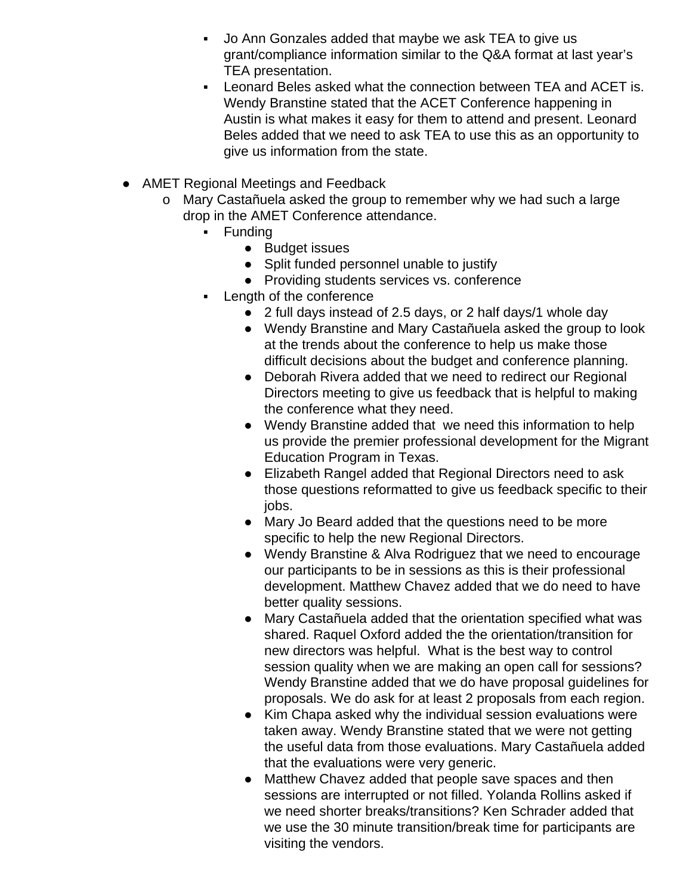- Jo Ann Gonzales added that maybe we ask TEA to give us grant/compliance information similar to the Q&A format at last year's TEA presentation.
- Leonard Beles asked what the connection between TEA and ACET is. Wendy Branstine stated that the ACET Conference happening in Austin is what makes it easy for them to attend and present. Leonard Beles added that we need to ask TEA to use this as an opportunity to give us information from the state.
- AMET Regional Meetings and Feedback
	- o Mary Castañuela asked the group to remember why we had such a large drop in the AMET Conference attendance.
		- **Funding** 
			- Budget issues
			- Split funded personnel unable to justify
			- Providing students services vs. conference
		- Length of the conference
			- 2 full days instead of 2.5 days, or 2 half days/1 whole day
			- Wendy Branstine and Mary Castañuela asked the group to look at the trends about the conference to help us make those difficult decisions about the budget and conference planning.
			- Deborah Rivera added that we need to redirect our Regional Directors meeting to give us feedback that is helpful to making the conference what they need.
			- Wendy Branstine added that we need this information to help us provide the premier professional development for the Migrant Education Program in Texas.
			- Elizabeth Rangel added that Regional Directors need to ask those questions reformatted to give us feedback specific to their jobs.
			- Mary Jo Beard added that the questions need to be more specific to help the new Regional Directors.
			- Wendy Branstine & Alva Rodriguez that we need to encourage our participants to be in sessions as this is their professional development. Matthew Chavez added that we do need to have better quality sessions.
			- Mary Castañuela added that the orientation specified what was shared. Raquel Oxford added the the orientation/transition for new directors was helpful. What is the best way to control session quality when we are making an open call for sessions? Wendy Branstine added that we do have proposal guidelines for proposals. We do ask for at least 2 proposals from each region.
			- Kim Chapa asked why the individual session evaluations were taken away. Wendy Branstine stated that we were not getting the useful data from those evaluations. Mary Castañuela added that the evaluations were very generic.
			- Matthew Chavez added that people save spaces and then sessions are interrupted or not filled. Yolanda Rollins asked if we need shorter breaks/transitions? Ken Schrader added that we use the 30 minute transition/break time for participants are visiting the vendors.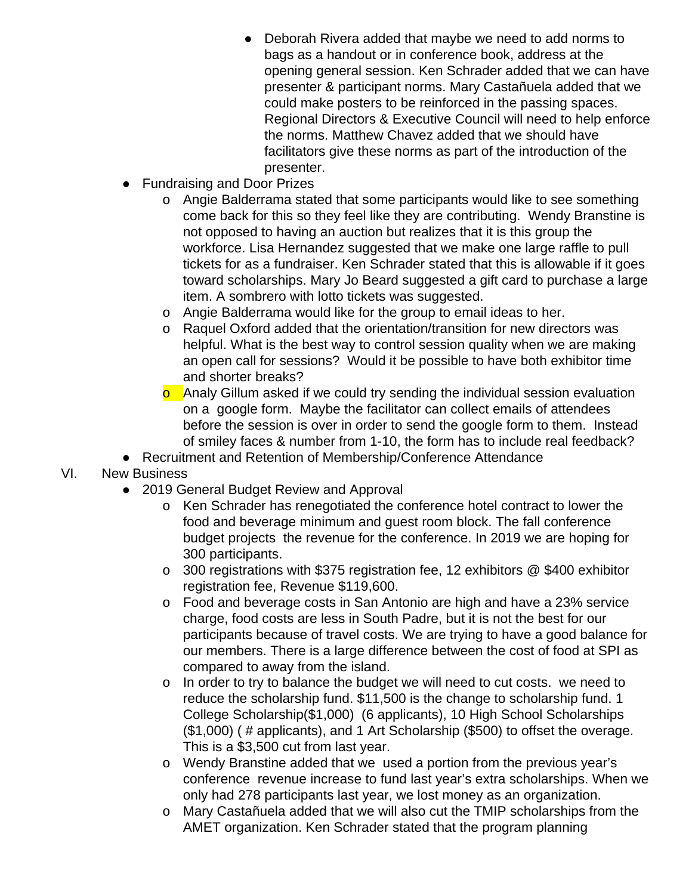- Deborah Rivera added that maybe we need to add norms to bags as a handout or in conference book, address at the opening general session. Ken Schrader added that we can have presenter & participant norms. Mary Castañuela added that we could make posters to be reinforced in the passing spaces. Regional Directors & Executive Council will need to help enforce the norms. Matthew Chavez added that we should have facilitators give these norms as part of the introduction of the presenter.
- Fundraising and Door Prizes
	- o Angie Balderrama stated that some participants would like to see something come back for this so they feel like they are contributing. Wendy Branstine is not opposed to having an auction but realizes that it is this group the workforce. Lisa Hernandez suggested that we make one large raffle to pull tickets for as a fundraiser. Ken Schrader stated that this is allowable if it goes toward scholarships. Mary Jo Beard suggested a gift card to purchase a large item. A sombrero with lotto tickets was suggested.
	- o Angie Balderrama would like for the group to email ideas to her.
	- o Raquel Oxford added that the orientation/transition for new directors was helpful. What is the best way to control session quality when we are making an open call for sessions? Would it be possible to have both exhibitor time and shorter breaks?
	- **o** Analy Gillum asked if we could try sending the individual session evaluation on a google form. Maybe the facilitator can collect emails of attendees before the session is over in order to send the google form to them. Instead of smiley faces & number from 1-10, the form has to include real feedback?
- Recruitment and Retention of Membership/Conference Attendance
- VI. New Business
	- 2019 General Budget Review and Approval
		- o Ken Schrader has renegotiated the conference hotel contract to lower the food and beverage minimum and guest room block. The fall conference budget projects the revenue for the conference. In 2019 we are hoping for 300 participants.
		- o 300 registrations with \$375 registration fee, 12 exhibitors @ \$400 exhibitor registration fee, Revenue \$119,600.
		- o Food and beverage costs in San Antonio are high and have a 23% service charge, food costs are less in South Padre, but it is not the best for our participants because of travel costs. We are trying to have a good balance for our members. There is a large difference between the cost of food at SPI as compared to away from the island.
		- o In order to try to balance the budget we will need to cut costs. we need to reduce the scholarship fund. \$11,500 is the change to scholarship fund. 1 College Scholarship(\$1,000) (6 applicants), 10 High School Scholarships (\$1,000) ( # applicants), and 1 Art Scholarship (\$500) to offset the overage. This is a \$3,500 cut from last year.
		- o Wendy Branstine added that we used a portion from the previous year's conference revenue increase to fund last year's extra scholarships. When we only had 278 participants last year, we lost money as an organization.
		- o Mary Castañuela added that we will also cut the TMIP scholarships from the AMET organization. Ken Schrader stated that the program planning